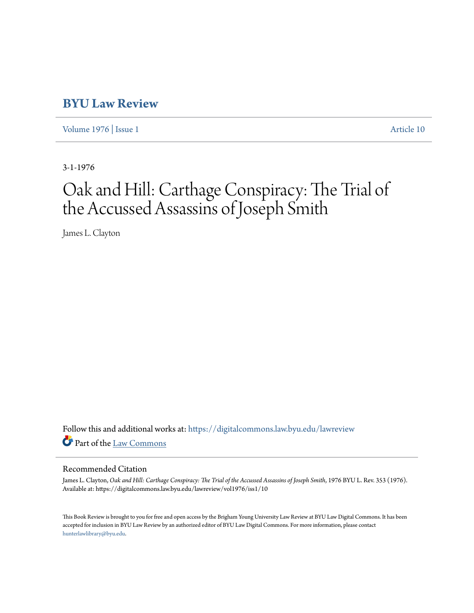## **[BYU Law Review](https://digitalcommons.law.byu.edu/lawreview?utm_source=digitalcommons.law.byu.edu%2Flawreview%2Fvol1976%2Fiss1%2F10&utm_medium=PDF&utm_campaign=PDFCoverPages)**

[Volume 1976](https://digitalcommons.law.byu.edu/lawreview/vol1976?utm_source=digitalcommons.law.byu.edu%2Flawreview%2Fvol1976%2Fiss1%2F10&utm_medium=PDF&utm_campaign=PDFCoverPages) | [Issue 1](https://digitalcommons.law.byu.edu/lawreview/vol1976/iss1?utm_source=digitalcommons.law.byu.edu%2Flawreview%2Fvol1976%2Fiss1%2F10&utm_medium=PDF&utm_campaign=PDFCoverPages) [Article 10](https://digitalcommons.law.byu.edu/lawreview/vol1976/iss1/10?utm_source=digitalcommons.law.byu.edu%2Flawreview%2Fvol1976%2Fiss1%2F10&utm_medium=PDF&utm_campaign=PDFCoverPages)

3-1-1976

## Oak and Hill: Carthage Conspiracy: The Trial of the Accussed Assassins of Joseph Smith

James L. Clayton

Follow this and additional works at: [https://digitalcommons.law.byu.edu/lawreview](https://digitalcommons.law.byu.edu/lawreview?utm_source=digitalcommons.law.byu.edu%2Flawreview%2Fvol1976%2Fiss1%2F10&utm_medium=PDF&utm_campaign=PDFCoverPages) Part of the [Law Commons](http://network.bepress.com/hgg/discipline/578?utm_source=digitalcommons.law.byu.edu%2Flawreview%2Fvol1976%2Fiss1%2F10&utm_medium=PDF&utm_campaign=PDFCoverPages)

## Recommended Citation

James L. Clayton, *Oak and Hill: Carthage Conspiracy: The Trial of the Accussed Assassins of Joseph Smith*, 1976 BYU L. Rev. 353 (1976). Available at: https://digitalcommons.law.byu.edu/lawreview/vol1976/iss1/10

This Book Review is brought to you for free and open access by the Brigham Young University Law Review at BYU Law Digital Commons. It has been accepted for inclusion in BYU Law Review by an authorized editor of BYU Law Digital Commons. For more information, please contact [hunterlawlibrary@byu.edu.](mailto:hunterlawlibrary@byu.edu)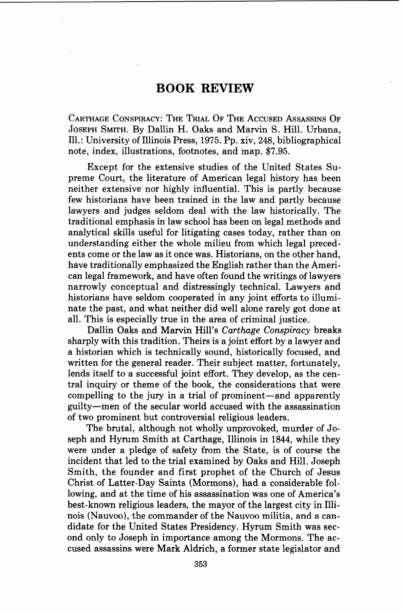## **BOOK REVIEW**

CARTHAGE CONSPIRACY: THE TRIAL OF THE ACCUSED ASSASSINS OF JOSEPH SMITH. By Dallin H. Oaks and Marvin S. Hill. Urbana, Ill.: University of Illinois Press, 1975. Pp. xiv, 248, bibliographical note, index, illustrations, footnotes, and map. \$7.95.

Except for the extensive studies of the United States Supreme Court, the literature of American legal history has been neither extensive nor highly influential. This is partly because few historians have been trained in the law and partly because lawyers and judges seldom deal with the law historically. The traditional emphasis in law school has been on legal methods and analytical skills useful for litigating cases today, rather than on understanding either the whole milieu from which legal precedents come or the law as it once was. Historians, on the other hand, have traditionally emphasized the English rather than the American legal framework, and have often found the writings of lawyers narrowly conceptual and distressingly technical. Lawyers and historians have seldom cooperated in any joint efforts to illuminate the past, and what neither did well alone rarely got done at all. This is especially true in the area of criminal justice.

Dallin Oaks and Marvin Hill's *Carthage Conspiracy* breaks sharply with this tradition. Theirs is a joint effort by a lawyer and a historian which is technically sound, historically focused, and written for the general reader. Their subject matter, fortunately, lends itself to a successful joint effort. They develop, as the central inquiry or theme of the book, the considerations that were compelling to the jury in a trial of prominent-and apparently guilty-men of the secular world accused with the assassination of two prominent but controversial religious leaders.

The brutal, although not wholly unprovoked, murder of Joseph and Hyrum Smith at Carthage, Illinois in 1844, while they were under a pledge of safety from the State, is of course the incident that led to the trial examined by Oaks and Hill. Joseph Smith, the founder and first prophet of the Church of Jesus Christ of Latter-Day Saints (Mormons), had a considerable following, and at the time of his assassination was one of America's best-known religious leaders, the mayor of the largest city in Illinois (Nauvoo), the commander of the Nauvoo militia, and a candidate for the United States Presidency. Hyrum Smith was second only to Joseph in importance among the Mormons. The accused assassins were Mark Aldrich, a former state legislator and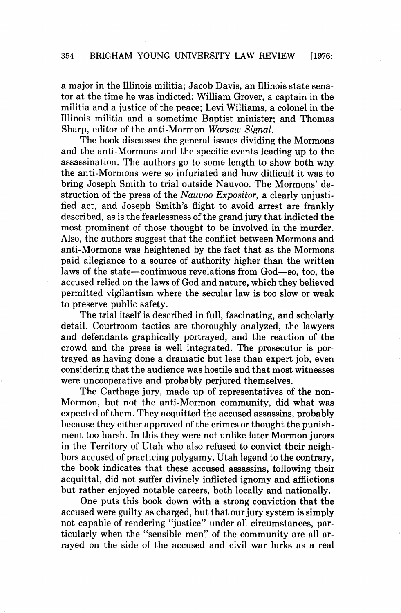a major in the Illinois militia; Jacob Davis, an Illinois state senator at the time he was indicted; William Grover, a captain in the militia and a justice of the peace; Levi Williams, a colonel in the Illinois militia and a sometime Baptist minister; and Thomas Sharp, editor of the anti-Mormon *Warsaw Signal.* 

The book discusses the general issues dividing the Mormons and the anti-Mormons and the specific events leading up to the assassination. The authors go to some length to show both why the anti-Mormons were so infuriated and how difficult it was to bring Joseph Smith to trial outside Nauvoo. The Mormons' destruction of the press of the *Nauvoo Expositor,* a clearly unjustified act, and Joseph Smith's flight to avoid arrest are frankly described, as is the fearlessness of the grand jury that indicted the most prominent of those thought to be involved in the murder. Also, the authors suggest that the conflict between Mormons and anti-Mormons was heightened by the fact that as the Mormons paid allegiance to a source of authority higher than the written laws of the state—continuous revelations from God—so, too, the accused relied on the laws of God and nature, which they believed permitted vigilantism where the secular law is too slow or weak to preserve public safety.

The trial itself is described in full, fascinating, and scholarly detail. Courtroom tactics are thoroughly analyzed, the lawyers and defendants graphically portrayed, and the reaction of the crowd and the press is well integrated. The prosecutor is portrayed as having done a dramatic but less than expert job, even considering that the audience was hostile and that most witnesses were uncooperative and probably perjured themselves.

The Carthage jury, made up of representatives of the non-Mormon, but not the anti-Mormon community, did what was expected of them. They acquitted the accused assassins, probably because they either approved of the crimes or thought the punishment too harsh. In this they were not unlike later Mormon jurors in the Territory of Utah who also refused to convict their neighbors accused of practicing polygamy. Utah legend to the contrary, the book indicates that these accused assassins, following their acquittal, did not suffer divinely inflicted ignomy and afflictions but rather enjoyed notable careers, both locally and nationally.

One puts this book down with a strong conviction that the accused were guilty as charged, but that our jury system is simply not capable of rendering "justice" under all circumstances, particularly when the "sensible men" of the community are all arrayed on the side of the accused and civil war lurks as a real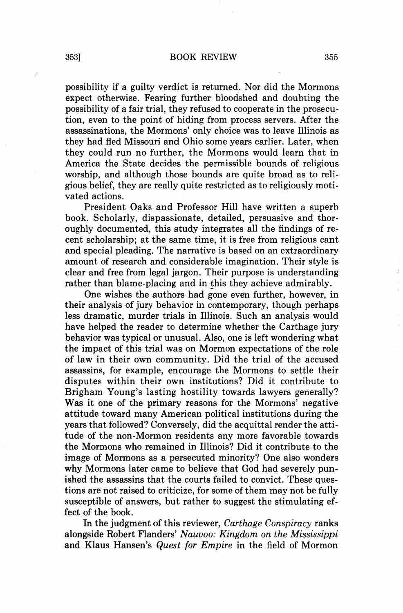possibility if a guilty verdict is returned. Nor did the Mormons expect otherwise. Fearing further bloodshed and doubting the possibility of a fair trial, they refused to cooperate in the prosecution, even to the point of hiding from process servers. After the assassinations, the Mormons' only choice was to leave Illinois as they had fled Missouri and Ohio some years earlier. Later, when they could run no further, the Mormons would learn that in America the State decides the permissible bounds of religious worship, and although those bounds are quite broad as to religious belief, they are really quite restricted as to religiously motivated actions.

President Oaks and Professor Hill have written a superb book. Scholarly, dispassionate, detailed, persuasive and thoroughly documented, this study integrates all the findings of recent scholarship; at the same time, it is free from religious cant and special pleading. The narrative is based on an extraordinary amount of research and considerable imagination. Their style is clear and free from legal jargon. Their purpose is understanding rather than blame-placing and in this they achieve admirably.

One wishes the authors had gone even further, however, in their analysis of jury behavior in contemporary, though perhaps less dramatic, murder trials in Illinois. Such an analysis would have helped the reader to determine whether the Carthage jury behavior was typical or unusual. Also, one is left wondering what the impact of this trial was on Mormon expectations of the role of law in their own community. Did the trial of the accused assassins, for example, encourage the Mormons to settle their disputes within their own institutions? Did it contribute to Brigham Young's lasting hostility towards lawyers generally? Was it one of the primary reasons for the Mormons' negative attitude toward many American political institutions during the years that followed? Conversely, did the acquittal render the attitude of the non-Mormon residents any more favorable towards the Mormons who remained in Illinois? Did it contribute to the image of Mormons as a persecuted minority? One also wonders why Mormons later came to believe that God had severely punished the assassins that the courts failed to convict. These questions are not raised to criticize, for some of them may not be fully susceptible of answers, but rather to suggest the stimulating effect of the book.

In the judgment of this reviewer, *Carthage Conspiracy* ranks alongside Robert Flanders' *Nauvoo: Kingdom on the Mississippi*  and Klaus Hansen's *Quest for Empire* in the field of Mormon

J)